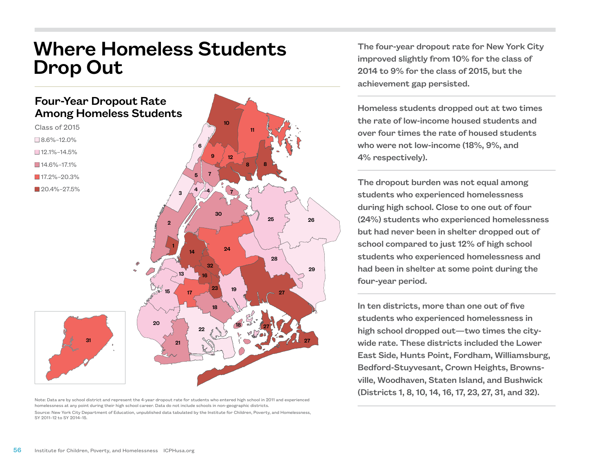## Where Homeless Students Drop Out

## Four-Year Dropout Rate Among Homeless Students



- $\square$  8.6%–12.0%
- $\square$  12.1%–14.5%
- $14.6\% 17.1\%$
- $17.2\% 20.3\%$
- $120.4\% 27.5\%$



Note: Data are by school district and represent the 4-year dropout rate for students who entered high school in 2011 and experienced homelessness at any point during their high school career. Data do not include schools in non-geographic districts. Source: New York City Department of Education, unpublished data tabulated by the Institute for Children, Poverty, and Homelessness, SY 2011–12 to SY 2014–15.

The four-year dropout rate for New York City improved slightly from 10% for the class of 2014 to 9% for the class of 2015, but the achievement gap persisted.

Homeless students dropped out at two times the rate of low-income housed students and over four times the rate of housed students who were not low-income (18%, 9%, and 4% respectively).

The dropout burden was not equal among students who experienced homelessness during high school. Close to one out of four (24%) students who experienced homelessness but had never been in shelter dropped out of school compared to just 12% of high school students who experienced homelessness and had been in shelter at some point during the four-year period.

In ten districts, more than one out of five students who experienced homelessness in high school dropped out—two times the citywide rate. These districts included the Lower East Side, Hunts Point, Fordham, Williamsburg, Bedford-Stuyvesant, Crown Heights, Brownsville, Woodhaven, Staten Island, and Bushwick (Districts 1, 8, 10, 14, 16, 17, 23, 27, 31, and 32).

31